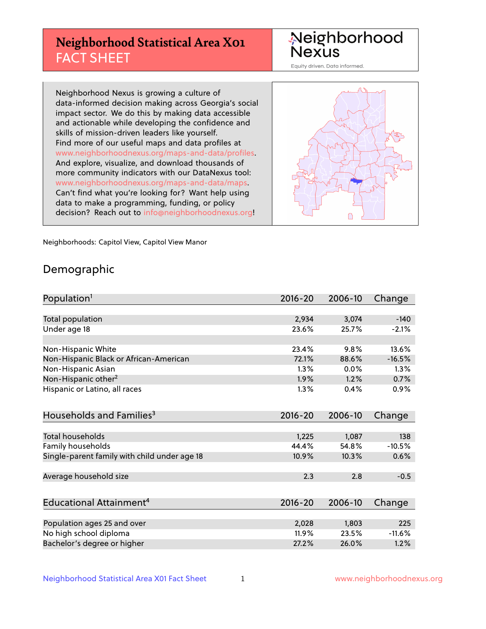## **Neighborhood Statistical Area X01** FACT SHEET

Neighborhood Nexus

Equity driven. Data informed.

Neighborhood Nexus is growing a culture of data-informed decision making across Georgia's social impact sector. We do this by making data accessible and actionable while developing the confidence and skills of mission-driven leaders like yourself. Find more of our useful maps and data profiles at www.neighborhoodnexus.org/maps-and-data/profiles. And explore, visualize, and download thousands of more community indicators with our DataNexus tool: www.neighborhoodnexus.org/maps-and-data/maps. Can't find what you're looking for? Want help using data to make a programming, funding, or policy decision? Reach out to [info@neighborhoodnexus.org!](mailto:info@neighborhoodnexus.org)



Neighborhoods: Capitol View, Capitol View Manor

### Demographic

| Population <sup>1</sup>                      | $2016 - 20$ | 2006-10 | Change   |
|----------------------------------------------|-------------|---------|----------|
|                                              |             |         |          |
| Total population                             | 2,934       | 3,074   | $-140$   |
| Under age 18                                 | 23.6%       | 25.7%   | $-2.1%$  |
|                                              |             |         |          |
| Non-Hispanic White                           | 23.4%       | 9.8%    | 13.6%    |
| Non-Hispanic Black or African-American       | 72.1%       | 88.6%   | $-16.5%$ |
| Non-Hispanic Asian                           | $1.3\%$     | 0.0%    | 1.3%     |
| Non-Hispanic other <sup>2</sup>              | 1.9%        | 1.2%    | 0.7%     |
| Hispanic or Latino, all races                | 1.3%        | 0.4%    | 0.9%     |
|                                              |             |         |          |
| Households and Families <sup>3</sup>         | $2016 - 20$ | 2006-10 | Change   |
|                                              |             |         |          |
| <b>Total households</b>                      | 1,225       | 1,087   | 138      |
| Family households                            | 44.4%       | 54.8%   | $-10.5%$ |
| Single-parent family with child under age 18 | 10.9%       | 10.3%   | 0.6%     |
|                                              |             |         |          |
| Average household size                       | 2.3         | 2.8     | $-0.5$   |
|                                              |             |         |          |
| Educational Attainment <sup>4</sup>          | 2016-20     | 2006-10 | Change   |
|                                              |             |         |          |
| Population ages 25 and over                  | 2,028       | 1,803   | 225      |
| No high school diploma                       | 11.9%       | 23.5%   | $-11.6%$ |
| Bachelor's degree or higher                  | 27.2%       | 26.0%   | 1.2%     |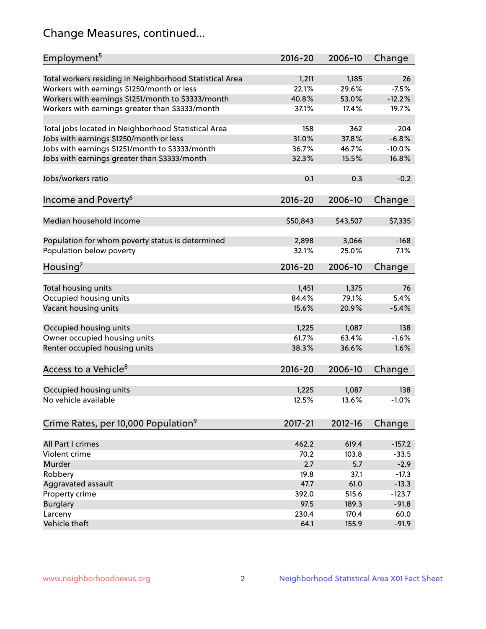## Change Measures, continued...

| Employment <sup>5</sup>                                 | 2016-20     | 2006-10  | Change   |
|---------------------------------------------------------|-------------|----------|----------|
| Total workers residing in Neighborhood Statistical Area | 1,211       | 1,185    | 26       |
| Workers with earnings \$1250/month or less              | 22.1%       | 29.6%    | $-7.5%$  |
| Workers with earnings \$1251/month to \$3333/month      | 40.8%       | 53.0%    | $-12.2%$ |
| Workers with earnings greater than \$3333/month         | 37.1%       | 17.4%    | 19.7%    |
|                                                         |             |          |          |
| Total jobs located in Neighborhood Statistical Area     | 158         | 362      | $-204$   |
| Jobs with earnings \$1250/month or less                 | 31.0%       | 37.8%    | $-6.8%$  |
| Jobs with earnings \$1251/month to \$3333/month         | 36.7%       | 46.7%    | $-10.0%$ |
| Jobs with earnings greater than \$3333/month            | 32.3%       | 15.5%    | 16.8%    |
|                                                         |             |          |          |
| Jobs/workers ratio                                      | 0.1         | 0.3      | $-0.2$   |
|                                                         |             |          |          |
| Income and Poverty <sup>6</sup>                         | 2016-20     | 2006-10  | Change   |
|                                                         |             |          |          |
| Median household income                                 | \$50,843    | \$43,507 | \$7,335  |
|                                                         |             |          |          |
| Population for whom poverty status is determined        | 2,898       | 3,066    | $-168$   |
| Population below poverty                                | 32.1%       | 25.0%    | 7.1%     |
|                                                         |             |          |          |
| Housing <sup>7</sup>                                    | 2016-20     | 2006-10  | Change   |
|                                                         |             |          |          |
| Total housing units                                     | 1,451       | 1,375    | 76       |
| Occupied housing units                                  | 84.4%       | 79.1%    | 5.4%     |
| Vacant housing units                                    | 15.6%       | 20.9%    | $-5.4%$  |
|                                                         |             |          |          |
| Occupied housing units                                  | 1,225       | 1,087    | 138      |
| Owner occupied housing units                            | 61.7%       | 63.4%    | $-1.6%$  |
| Renter occupied housing units                           | 38.3%       | 36.6%    | 1.6%     |
|                                                         |             |          |          |
| Access to a Vehicle <sup>8</sup>                        | $2016 - 20$ | 2006-10  | Change   |
|                                                         |             |          |          |
| Occupied housing units                                  | 1,225       | 1,087    | 138      |
| No vehicle available                                    | 12.5%       | 13.6%    | $-1.0%$  |
|                                                         |             |          |          |
| Crime Rates, per 10,000 Population <sup>9</sup>         | 2017-21     | 2012-16  | Change   |
|                                                         |             |          |          |
| All Part I crimes                                       | 462.2       | 619.4    | $-157.2$ |
| Violent crime                                           | 70.2        | 103.8    | $-33.5$  |
| Murder                                                  | 2.7         | 5.7      | $-2.9$   |
| Robbery                                                 | 19.8        | 37.1     | $-17.3$  |
| Aggravated assault                                      | 47.7        | 61.0     | $-13.3$  |
| Property crime                                          | 392.0       | 515.6    | $-123.7$ |
| <b>Burglary</b>                                         | 97.5        | 189.3    | $-91.8$  |
| Larceny                                                 | 230.4       | 170.4    | 60.0     |
| Vehicle theft                                           | 64.1        | 155.9    | $-91.9$  |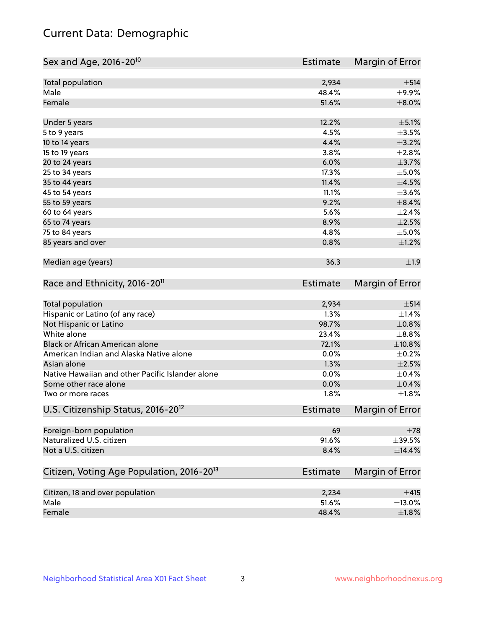## Current Data: Demographic

| Sex and Age, 2016-20 <sup>10</sup>                    | <b>Estimate</b> | Margin of Error        |
|-------------------------------------------------------|-----------------|------------------------|
| Total population                                      | 2,934           | ±514                   |
| Male                                                  | 48.4%           | $\pm$ 9.9%             |
| Female                                                | 51.6%           | $\pm$ 8.0%             |
| Under 5 years                                         | 12.2%           | $\pm$ 5.1%             |
| 5 to 9 years                                          | 4.5%            | $\pm 3.5\%$            |
| 10 to 14 years                                        | 4.4%            | $\pm$ 3.2%             |
| 15 to 19 years                                        | 3.8%            | $\pm 2.8\%$            |
| 20 to 24 years                                        | 6.0%            | $\pm$ 3.7%             |
| 25 to 34 years                                        | 17.3%           | $\pm$ 5.0%             |
| 35 to 44 years                                        | 11.4%           | $\pm 4.5\%$            |
| 45 to 54 years                                        | 11.1%           | $\pm 3.6\%$            |
| 55 to 59 years                                        | 9.2%            | $\pm$ 8.4%             |
| 60 to 64 years                                        | 5.6%            | $\pm 2.4\%$            |
| 65 to 74 years                                        | 8.9%            | $\pm 2.5\%$            |
| 75 to 84 years                                        | 4.8%            | $\pm$ 5.0%             |
| 85 years and over                                     | 0.8%            | ±1.2%                  |
| Median age (years)                                    | 36.3            | ±1.9                   |
| Race and Ethnicity, 2016-20 <sup>11</sup>             | <b>Estimate</b> | Margin of Error        |
| <b>Total population</b>                               | 2,934           | ±514                   |
| Hispanic or Latino (of any race)                      | 1.3%            | ±1.4%                  |
| Not Hispanic or Latino                                | 98.7%           | $\pm 0.8\%$            |
| White alone                                           | 23.4%           | $\pm$ 8.8%             |
| Black or African American alone                       | 72.1%           | ±10.8%                 |
| American Indian and Alaska Native alone               | 0.0%            | $\pm$ 0.2%             |
| Asian alone                                           | 1.3%            | $\pm 2.5\%$            |
| Native Hawaiian and other Pacific Islander alone      | 0.0%            | $\pm$ 0.4%             |
| Some other race alone                                 | 0.0%            | $\pm$ 0.4%             |
| Two or more races                                     | 1.8%            | $\pm1.8\%$             |
| U.S. Citizenship Status, 2016-20 <sup>12</sup>        | Estimate        | <b>Margin of Error</b> |
| Foreign-born population                               | 69              | $\pm 78$               |
| Naturalized U.S. citizen                              | 91.6%           | ±39.5%                 |
| Not a U.S. citizen                                    | 8.4%            | $\pm$ 14.4%            |
| Citizen, Voting Age Population, 2016-20 <sup>13</sup> | <b>Estimate</b> | Margin of Error        |
| Citizen, 18 and over population                       | 2,234           | ±415                   |
| Male                                                  | 51.6%           | ±13.0%                 |
| Female                                                | 48.4%           | $\pm 1.8\%$            |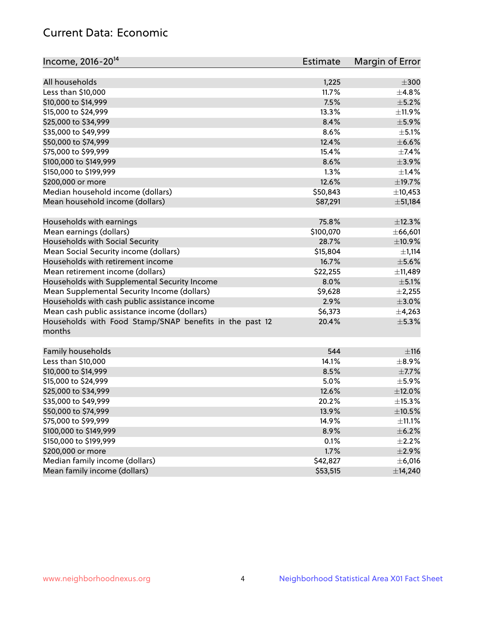## Current Data: Economic

| All households<br>$\pm 300$<br>1,225<br>Less than \$10,000<br>11.7%<br>±4.8%<br>7.5%<br>$\pm$ 5.2%<br>\$10,000 to \$14,999<br>\$15,000 to \$24,999<br>13.3%<br>\$25,000 to \$34,999<br>8.4%<br>$\pm$ 5.9%<br>$\pm$ 5.1%<br>\$35,000 to \$49,999<br>8.6%<br>\$50,000 to \$74,999<br>12.4%<br>$\pm$ 6.6%<br>\$75,000 to \$99,999<br>15.4%<br>$\pm$ 7.4%<br>8.6%<br>±3.9%<br>\$100,000 to \$149,999<br>1.3%<br>\$150,000 to \$199,999<br>12.6%<br>±19.7%<br>\$200,000 or more<br>Median household income (dollars)<br>\$50,843<br>Mean household income (dollars)<br>\$87,291<br>± 51,184<br>75.8%<br>Households with earnings<br>±12.3%<br>\$100,070<br>Mean earnings (dollars)<br>Households with Social Security<br>28.7%<br>$\pm$ 10.9% |
|------------------------------------------------------------------------------------------------------------------------------------------------------------------------------------------------------------------------------------------------------------------------------------------------------------------------------------------------------------------------------------------------------------------------------------------------------------------------------------------------------------------------------------------------------------------------------------------------------------------------------------------------------------------------------------------------------------------------------------------|
|                                                                                                                                                                                                                                                                                                                                                                                                                                                                                                                                                                                                                                                                                                                                          |
| ±11.9%<br>$\pm$ 1.4%<br>±10,453<br>±66,601                                                                                                                                                                                                                                                                                                                                                                                                                                                                                                                                                                                                                                                                                               |
|                                                                                                                                                                                                                                                                                                                                                                                                                                                                                                                                                                                                                                                                                                                                          |
|                                                                                                                                                                                                                                                                                                                                                                                                                                                                                                                                                                                                                                                                                                                                          |
|                                                                                                                                                                                                                                                                                                                                                                                                                                                                                                                                                                                                                                                                                                                                          |
|                                                                                                                                                                                                                                                                                                                                                                                                                                                                                                                                                                                                                                                                                                                                          |
|                                                                                                                                                                                                                                                                                                                                                                                                                                                                                                                                                                                                                                                                                                                                          |
|                                                                                                                                                                                                                                                                                                                                                                                                                                                                                                                                                                                                                                                                                                                                          |
|                                                                                                                                                                                                                                                                                                                                                                                                                                                                                                                                                                                                                                                                                                                                          |
|                                                                                                                                                                                                                                                                                                                                                                                                                                                                                                                                                                                                                                                                                                                                          |
|                                                                                                                                                                                                                                                                                                                                                                                                                                                                                                                                                                                                                                                                                                                                          |
|                                                                                                                                                                                                                                                                                                                                                                                                                                                                                                                                                                                                                                                                                                                                          |
|                                                                                                                                                                                                                                                                                                                                                                                                                                                                                                                                                                                                                                                                                                                                          |
|                                                                                                                                                                                                                                                                                                                                                                                                                                                                                                                                                                                                                                                                                                                                          |
|                                                                                                                                                                                                                                                                                                                                                                                                                                                                                                                                                                                                                                                                                                                                          |
|                                                                                                                                                                                                                                                                                                                                                                                                                                                                                                                                                                                                                                                                                                                                          |
|                                                                                                                                                                                                                                                                                                                                                                                                                                                                                                                                                                                                                                                                                                                                          |
| Mean Social Security income (dollars)<br>\$15,804<br>$\pm$ 1,114                                                                                                                                                                                                                                                                                                                                                                                                                                                                                                                                                                                                                                                                         |
| Households with retirement income<br>16.7%<br>$\pm$ 5.6%                                                                                                                                                                                                                                                                                                                                                                                                                                                                                                                                                                                                                                                                                 |
| Mean retirement income (dollars)<br>\$22,255<br>±11,489                                                                                                                                                                                                                                                                                                                                                                                                                                                                                                                                                                                                                                                                                  |
| Households with Supplemental Security Income<br>8.0%<br>$\pm$ 5.1%                                                                                                                                                                                                                                                                                                                                                                                                                                                                                                                                                                                                                                                                       |
| Mean Supplemental Security Income (dollars)<br>\$9,628<br>$\pm$ 2,255                                                                                                                                                                                                                                                                                                                                                                                                                                                                                                                                                                                                                                                                    |
| Households with cash public assistance income<br>2.9%<br>$\pm 3.0\%$                                                                                                                                                                                                                                                                                                                                                                                                                                                                                                                                                                                                                                                                     |
| Mean cash public assistance income (dollars)<br>\$6,373<br>±4,263                                                                                                                                                                                                                                                                                                                                                                                                                                                                                                                                                                                                                                                                        |
| Households with Food Stamp/SNAP benefits in the past 12<br>20.4%<br>$\pm$ 5.3%<br>months                                                                                                                                                                                                                                                                                                                                                                                                                                                                                                                                                                                                                                                 |
| Family households<br>544<br>±116                                                                                                                                                                                                                                                                                                                                                                                                                                                                                                                                                                                                                                                                                                         |
| Less than \$10,000<br>14.1%<br>$\pm$ 8.9%                                                                                                                                                                                                                                                                                                                                                                                                                                                                                                                                                                                                                                                                                                |
| \$10,000 to \$14,999<br>8.5%<br>$\pm$ 7.7%                                                                                                                                                                                                                                                                                                                                                                                                                                                                                                                                                                                                                                                                                               |
| \$15,000 to \$24,999<br>5.0%<br>$\pm$ 5.9%                                                                                                                                                                                                                                                                                                                                                                                                                                                                                                                                                                                                                                                                                               |
| $\pm$ 12.0%<br>\$25,000 to \$34,999<br>12.6%                                                                                                                                                                                                                                                                                                                                                                                                                                                                                                                                                                                                                                                                                             |
| \$35,000 to \$49,999<br>20.2%<br>±15.3%                                                                                                                                                                                                                                                                                                                                                                                                                                                                                                                                                                                                                                                                                                  |
| \$50,000 to \$74,999<br>13.9%<br>$\pm$ 10.5%                                                                                                                                                                                                                                                                                                                                                                                                                                                                                                                                                                                                                                                                                             |
| \$75,000 to \$99,999<br>14.9%<br>$\pm$ 11.1%                                                                                                                                                                                                                                                                                                                                                                                                                                                                                                                                                                                                                                                                                             |
| \$100,000 to \$149,999<br>8.9%<br>$\pm$ 6.2%                                                                                                                                                                                                                                                                                                                                                                                                                                                                                                                                                                                                                                                                                             |
| \$150,000 to \$199,999<br>0.1%<br>$\pm 2.2\%$                                                                                                                                                                                                                                                                                                                                                                                                                                                                                                                                                                                                                                                                                            |
| \$200,000 or more<br>1.7%<br>$\pm 2.9\%$                                                                                                                                                                                                                                                                                                                                                                                                                                                                                                                                                                                                                                                                                                 |
| Median family income (dollars)<br>\$42,827<br>$\pm$ 6,016                                                                                                                                                                                                                                                                                                                                                                                                                                                                                                                                                                                                                                                                                |
| Mean family income (dollars)<br>\$53,515<br>±14,240                                                                                                                                                                                                                                                                                                                                                                                                                                                                                                                                                                                                                                                                                      |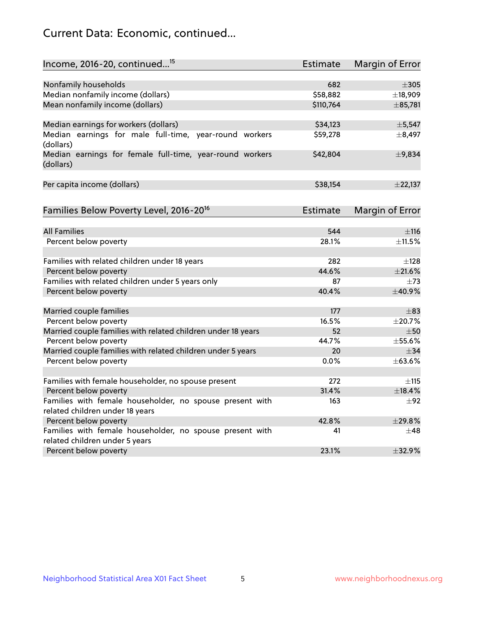## Current Data: Economic, continued...

| Income, 2016-20, continued <sup>15</sup>                                                    | <b>Estimate</b> | Margin of Error        |
|---------------------------------------------------------------------------------------------|-----------------|------------------------|
|                                                                                             |                 |                        |
| Nonfamily households                                                                        | 682             | $\pm$ 305              |
| Median nonfamily income (dollars)                                                           | \$58,882        | ±18,909                |
| Mean nonfamily income (dollars)                                                             | \$110,764       | ±85,781                |
| Median earnings for workers (dollars)                                                       | \$34,123        | ±5,547                 |
| Median earnings for male full-time, year-round workers                                      | \$59,278        | ±8,497                 |
| (dollars)                                                                                   |                 |                        |
| Median earnings for female full-time, year-round workers<br>(dollars)                       | \$42,804        | ±9,834                 |
| Per capita income (dollars)                                                                 | \$38,154        | ±22,137                |
| Families Below Poverty Level, 2016-20 <sup>16</sup>                                         | <b>Estimate</b> |                        |
|                                                                                             |                 | <b>Margin of Error</b> |
| <b>All Families</b>                                                                         | 544             | $\pm$ 116              |
| Percent below poverty                                                                       | 28.1%           | ±11.5%                 |
| Families with related children under 18 years                                               | 282             | $\pm$ 128              |
| Percent below poverty                                                                       | 44.6%           | ±21.6%                 |
| Families with related children under 5 years only                                           | 87              | $\pm 73$               |
| Percent below poverty                                                                       | 40.4%           | ±40.9%                 |
| Married couple families                                                                     | 177             | $\pm$ 83               |
| Percent below poverty                                                                       | 16.5%           | ±20.7%                 |
| Married couple families with related children under 18 years                                | 52              | $\pm$ 50               |
| Percent below poverty                                                                       | 44.7%           | ±55.6%                 |
| Married couple families with related children under 5 years                                 | 20              | $\pm$ 34               |
| Percent below poverty                                                                       | $0.0\%$         | ±63.6%                 |
|                                                                                             |                 |                        |
| Families with female householder, no spouse present                                         | 272             | $\pm$ 115              |
| Percent below poverty                                                                       | 31.4%           | ±18.4%                 |
| Families with female householder, no spouse present with<br>related children under 18 years | 163             | $\pm 92$               |
| Percent below poverty                                                                       | 42.8%           | ±29.8%                 |
| Families with female householder, no spouse present with                                    | 41              | $\pm 48$               |
| related children under 5 years                                                              |                 |                        |
| Percent below poverty                                                                       | 23.1%           | ±32.9%                 |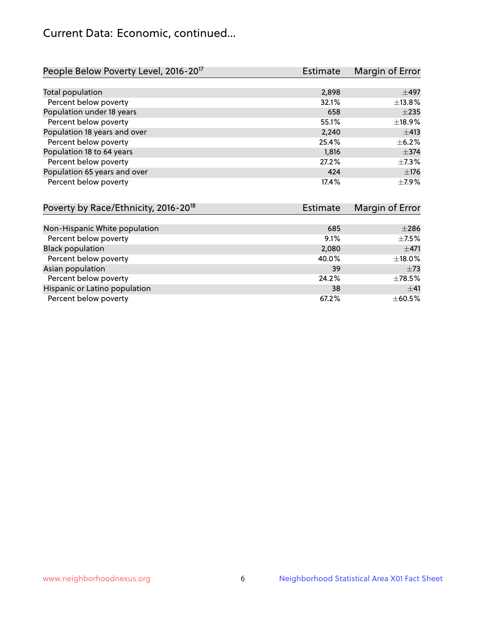## Current Data: Economic, continued...

| People Below Poverty Level, 2016-20 <sup>17</sup> | <b>Estimate</b> | Margin of Error |
|---------------------------------------------------|-----------------|-----------------|
|                                                   |                 |                 |
| Total population                                  | 2,898           | $\pm$ 497       |
| Percent below poverty                             | 32.1%           | ±13.8%          |
| Population under 18 years                         | 658             | $\pm 235$       |
| Percent below poverty                             | 55.1%           | ±18.9%          |
| Population 18 years and over                      | 2,240           | ±413            |
| Percent below poverty                             | 25.4%           | $\pm$ 6.2%      |
| Population 18 to 64 years                         | 1,816           | $\pm$ 374       |
| Percent below poverty                             | 27.2%           | $\pm$ 7.3%      |
| Population 65 years and over                      | 424             | ±176            |
| Percent below poverty                             | 17.4%           | $\pm$ 7.9%      |

| Poverty by Race/Ethnicity, 2016-20 <sup>18</sup> | Estimate | Margin of Error |
|--------------------------------------------------|----------|-----------------|
|                                                  |          |                 |
| Non-Hispanic White population                    | 685      | $\pm 286$       |
| Percent below poverty                            | 9.1%     | $\pm$ 7.5%      |
| <b>Black population</b>                          | 2,080    | $\pm$ 471       |
| Percent below poverty                            | 40.0%    | ±18.0%          |
| Asian population                                 | 39       | $\pm 73$        |
| Percent below poverty                            | 24.2%    | $\pm 78.5\%$    |
| Hispanic or Latino population                    | 38       | $+41$           |
| Percent below poverty                            | 67.2%    | $\pm$ 60.5%     |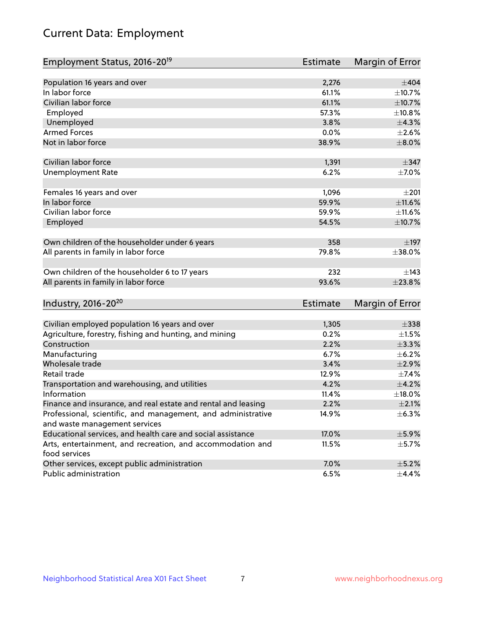# Current Data: Employment

| Employment Status, 2016-20 <sup>19</sup>                                    | <b>Estimate</b> | Margin of Error |
|-----------------------------------------------------------------------------|-----------------|-----------------|
|                                                                             |                 |                 |
| Population 16 years and over                                                | 2,276           | $\pm 404$       |
| In labor force                                                              | 61.1%           | ±10.7%          |
| Civilian labor force                                                        | 61.1%           | $\pm$ 10.7%     |
| Employed                                                                    | 57.3%           | ±10.8%          |
| Unemployed                                                                  | 3.8%            | $\pm$ 4.3%      |
| <b>Armed Forces</b>                                                         | 0.0%            | $\pm 2.6\%$     |
| Not in labor force                                                          | 38.9%           | $\pm 8.0\%$     |
| Civilian labor force                                                        | 1,391           | $\pm$ 347       |
| <b>Unemployment Rate</b>                                                    | 6.2%            | $\pm$ 7.0%      |
| Females 16 years and over                                                   | 1,096           | ±201            |
| In labor force                                                              | 59.9%           | ±11.6%          |
| Civilian labor force                                                        | 59.9%           | ±11.6%          |
| Employed                                                                    | 54.5%           | $\pm$ 10.7%     |
| Own children of the householder under 6 years                               | 358             | $\pm$ 197       |
| All parents in family in labor force                                        | 79.8%           | ±38.0%          |
| Own children of the householder 6 to 17 years                               | 232             | ±143            |
| All parents in family in labor force                                        | 93.6%           | ±23.8%          |
| Industry, 2016-20 <sup>20</sup>                                             | <b>Estimate</b> | Margin of Error |
|                                                                             |                 |                 |
| Civilian employed population 16 years and over                              | 1,305           | $\pm$ 338       |
| Agriculture, forestry, fishing and hunting, and mining                      | 0.2%            | $\pm 1.5\%$     |
| Construction                                                                | 2.2%            | ±3.3%           |
| Manufacturing                                                               | 6.7%            | $\pm$ 6.2%      |
| Wholesale trade                                                             | 3.4%            | $\pm 2.9\%$     |
| Retail trade                                                                | 12.9%           | ±7.4%           |
| Transportation and warehousing, and utilities                               | 4.2%            | $\pm 4.2\%$     |
| Information                                                                 | 11.4%           | ±18.0%          |
| Finance and insurance, and real estate and rental and leasing               | 2.2%            | $\pm 2.1\%$     |
| Professional, scientific, and management, and administrative                | 14.9%           | $\pm$ 6.3%      |
| and waste management services                                               |                 |                 |
| Educational services, and health care and social assistance                 | 17.0%           | $\pm$ 5.9%      |
| Arts, entertainment, and recreation, and accommodation and<br>food services | 11.5%           | $\pm$ 5.7%      |
| Other services, except public administration                                | 7.0%            | $\pm$ 5.2%      |
| Public administration                                                       | 6.5%            | ±4.4%           |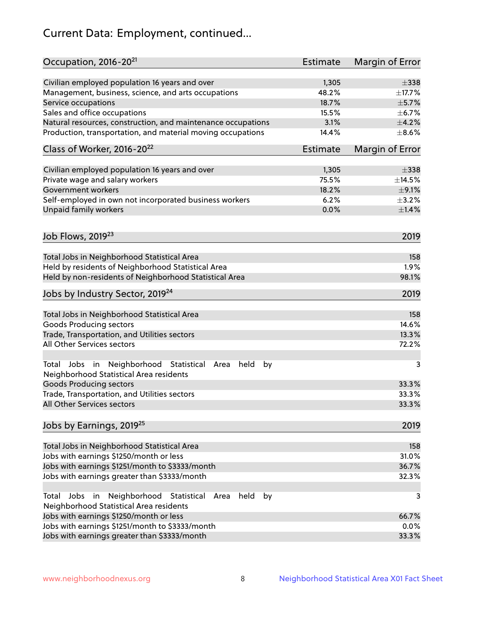# Current Data: Employment, continued...

| Occupation, 2016-20 <sup>21</sup>                                                                                | <b>Estimate</b> | Margin of Error |
|------------------------------------------------------------------------------------------------------------------|-----------------|-----------------|
| Civilian employed population 16 years and over                                                                   | 1,305           | $\pm$ 338       |
| Management, business, science, and arts occupations                                                              | 48.2%           | ±17.7%          |
| Service occupations                                                                                              | 18.7%           | $\pm$ 5.7%      |
| Sales and office occupations                                                                                     | 15.5%           | $\pm$ 6.7%      |
| Natural resources, construction, and maintenance occupations                                                     | 3.1%            | $\pm 4.2\%$     |
| Production, transportation, and material moving occupations                                                      | 14.4%           | $\pm$ 8.6%      |
| Class of Worker, 2016-20 <sup>22</sup>                                                                           | <b>Estimate</b> | Margin of Error |
| Civilian employed population 16 years and over                                                                   | 1,305           | $\pm$ 338       |
| Private wage and salary workers                                                                                  | 75.5%           | ±14.5%          |
| Government workers                                                                                               | 18.2%           | $\pm$ 9.1%      |
| Self-employed in own not incorporated business workers                                                           | 6.2%            | $\pm$ 3.2%      |
| Unpaid family workers                                                                                            | 0.0%            | $\pm1.4\%$      |
| Job Flows, 2019 <sup>23</sup>                                                                                    |                 | 2019            |
|                                                                                                                  |                 |                 |
| Total Jobs in Neighborhood Statistical Area                                                                      |                 | 158             |
| Held by residents of Neighborhood Statistical Area                                                               |                 | 1.9%            |
| Held by non-residents of Neighborhood Statistical Area                                                           |                 | 98.1%           |
| Jobs by Industry Sector, 2019 <sup>24</sup>                                                                      |                 | 2019            |
| Total Jobs in Neighborhood Statistical Area                                                                      |                 | 158             |
| <b>Goods Producing sectors</b>                                                                                   |                 | 14.6%           |
| Trade, Transportation, and Utilities sectors                                                                     |                 | 13.3%           |
| All Other Services sectors                                                                                       |                 | 72.2%           |
| Total Jobs in Neighborhood Statistical<br>held<br>by<br>Area<br>Neighborhood Statistical Area residents          |                 | 3               |
| <b>Goods Producing sectors</b>                                                                                   |                 | 33.3%           |
| Trade, Transportation, and Utilities sectors                                                                     |                 | 33.3%           |
| All Other Services sectors                                                                                       |                 | 33.3%           |
| Jobs by Earnings, 2019 <sup>25</sup>                                                                             |                 | 2019            |
| Total Jobs in Neighborhood Statistical Area                                                                      |                 | 158             |
| Jobs with earnings \$1250/month or less                                                                          |                 | 31.0%           |
| Jobs with earnings \$1251/month to \$3333/month                                                                  |                 | 36.7%           |
| Jobs with earnings greater than \$3333/month                                                                     |                 | 32.3%           |
| Neighborhood Statistical<br>Jobs<br>in<br>held<br>by<br>Total<br>Area<br>Neighborhood Statistical Area residents |                 | 3               |
| Jobs with earnings \$1250/month or less                                                                          |                 | 66.7%           |
| Jobs with earnings \$1251/month to \$3333/month                                                                  |                 | 0.0%            |
| Jobs with earnings greater than \$3333/month                                                                     |                 | 33.3%           |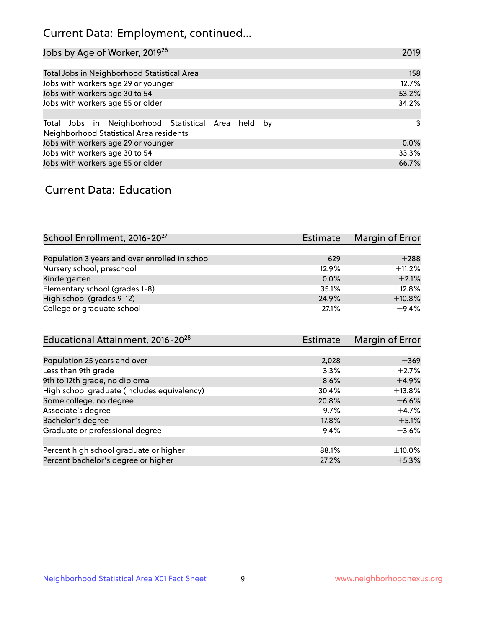## Current Data: Employment, continued...

| Jobs by Age of Worker, 2019 <sup>26</sup>                                                      | 2019  |
|------------------------------------------------------------------------------------------------|-------|
|                                                                                                |       |
| Total Jobs in Neighborhood Statistical Area                                                    | 158   |
| Jobs with workers age 29 or younger                                                            | 12.7% |
| Jobs with workers age 30 to 54                                                                 | 53.2% |
| Jobs with workers age 55 or older                                                              | 34.2% |
|                                                                                                |       |
| Total Jobs in Neighborhood Statistical Area held by<br>Neighborhood Statistical Area residents | 3     |
| Jobs with workers age 29 or younger                                                            | 0.0%  |
| Jobs with workers age 30 to 54                                                                 | 33.3% |
| Jobs with workers age 55 or older                                                              | 66.7% |

### Current Data: Education

| School Enrollment, 2016-20 <sup>27</sup>       | Estimate | Margin of Error |
|------------------------------------------------|----------|-----------------|
|                                                |          |                 |
| Population 3 years and over enrolled in school | 629      | $\pm 288$       |
| Nursery school, preschool                      | 12.9%    | ±11.2%          |
| Kindergarten                                   | $0.0\%$  | $+2.1%$         |
| Elementary school (grades 1-8)                 | 35.1%    | $\pm$ 12.8%     |
| High school (grades 9-12)                      | 24.9%    | ±10.8%          |
| College or graduate school                     | 27.1%    | $\pm$ 9.4%      |

| Educational Attainment, 2016-20 <sup>28</sup> | Estimate | Margin of Error |
|-----------------------------------------------|----------|-----------------|
|                                               |          |                 |
| Population 25 years and over                  | 2,028    | $\pm$ 369       |
| Less than 9th grade                           | 3.3%     | $\pm 2.7\%$     |
| 9th to 12th grade, no diploma                 | 8.6%     | $\pm$ 4.9%      |
| High school graduate (includes equivalency)   | 30.4%    | $\pm$ 13.8%     |
| Some college, no degree                       | 20.8%    | $\pm$ 6.6%      |
| Associate's degree                            | 9.7%     | $\pm$ 4.7%      |
| Bachelor's degree                             | 17.8%    | $\pm$ 5.1%      |
| Graduate or professional degree               | 9.4%     | $\pm 3.6\%$     |
|                                               |          |                 |
| Percent high school graduate or higher        | 88.1%    | $\pm$ 10.0%     |
| Percent bachelor's degree or higher           | 27.2%    | $\pm$ 5.3%      |
|                                               |          |                 |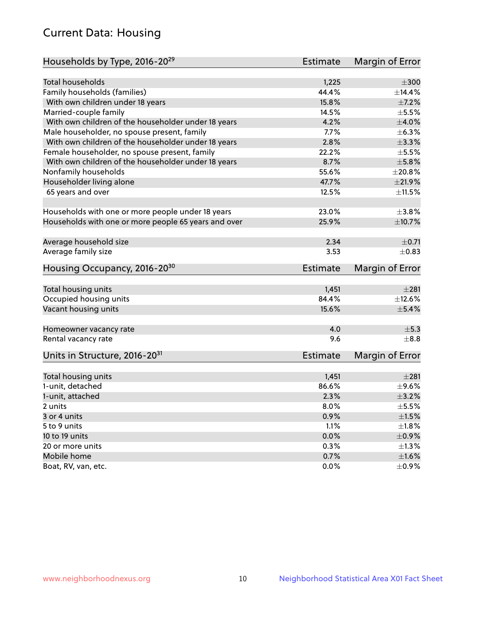## Current Data: Housing

| Households by Type, 2016-20 <sup>29</sup>            | <b>Estimate</b> | Margin of Error |
|------------------------------------------------------|-----------------|-----------------|
|                                                      |                 |                 |
| Total households                                     | 1,225           | $\pm 300$       |
| Family households (families)                         | 44.4%           | ±14.4%          |
| With own children under 18 years                     | 15.8%           | $\pm$ 7.2%      |
| Married-couple family                                | 14.5%           | $\pm$ 5.5%      |
| With own children of the householder under 18 years  | 4.2%            | $\pm 4.0\%$     |
| Male householder, no spouse present, family          | 7.7%            | $\pm$ 6.3%      |
| With own children of the householder under 18 years  | 2.8%            | $\pm$ 3.3%      |
| Female householder, no spouse present, family        | 22.2%           | $\pm$ 5.5%      |
| With own children of the householder under 18 years  | 8.7%            | $\pm$ 5.8%      |
| Nonfamily households                                 | 55.6%           | $\pm 20.8\%$    |
| Householder living alone                             | 47.7%           | ±21.9%          |
| 65 years and over                                    | 12.5%           | ±11.5%          |
|                                                      |                 |                 |
| Households with one or more people under 18 years    | 23.0%           | $\pm 3.8\%$     |
| Households with one or more people 65 years and over | 25.9%           | $\pm$ 10.7%     |
|                                                      |                 |                 |
| Average household size                               | 2.34            | $\pm$ 0.71      |
| Average family size                                  | 3.53            | $\pm$ 0.83      |
| Housing Occupancy, 2016-20 <sup>30</sup>             | <b>Estimate</b> | Margin of Error |
|                                                      |                 |                 |
| Total housing units                                  | 1,451           | $\pm 281$       |
| Occupied housing units                               | 84.4%           | $\pm$ 12.6%     |
| Vacant housing units                                 | 15.6%           | $\pm$ 5.4%      |
| Homeowner vacancy rate                               | 4.0             | $\pm$ 5.3       |
| Rental vacancy rate                                  | 9.6             | $+8.8$          |
| Units in Structure, 2016-20 <sup>31</sup>            | Estimate        | Margin of Error |
|                                                      |                 |                 |
| Total housing units                                  | 1,451           | $\pm 281$       |
| 1-unit, detached                                     | 86.6%           | $\pm$ 9.6%      |
| 1-unit, attached                                     | 2.3%            | $\pm$ 3.2%      |
| 2 units                                              | 8.0%            | $\pm$ 5.5%      |
| 3 or 4 units                                         | 0.9%            | $\pm1.5\%$      |
| 5 to 9 units                                         | 1.1%            | $\pm 1.8\%$     |
| 10 to 19 units                                       | 0.0%            | $\pm$ 0.9%      |
| 20 or more units                                     | 0.3%            | $\pm 1.3\%$     |
| Mobile home                                          | 0.7%            | $\pm1.6\%$      |
| Boat, RV, van, etc.                                  | $0.0\%$         | $\pm$ 0.9%      |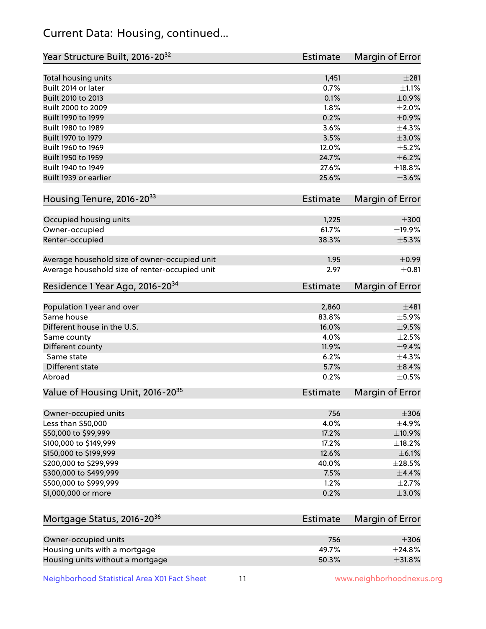## Current Data: Housing, continued...

| Year Structure Built, 2016-20 <sup>32</sup>    | <b>Estimate</b> | <b>Margin of Error</b> |
|------------------------------------------------|-----------------|------------------------|
| Total housing units                            | 1,451           | $\pm 281$              |
| Built 2014 or later                            | 0.7%            | $\pm 1.1\%$            |
| Built 2010 to 2013                             | 0.1%            | $\pm$ 0.9%             |
| Built 2000 to 2009                             | 1.8%            | $\pm 2.0\%$            |
| Built 1990 to 1999                             | 0.2%            | $\pm$ 0.9%             |
| Built 1980 to 1989                             | 3.6%            | $\pm$ 4.3%             |
| Built 1970 to 1979                             | 3.5%            | $\pm 3.0\%$            |
| Built 1960 to 1969                             | 12.0%           | $\pm$ 5.2%             |
| Built 1950 to 1959                             | 24.7%           | ±6.2%                  |
| Built 1940 to 1949                             | 27.6%           | ±18.8%                 |
| Built 1939 or earlier                          | 25.6%           | $\pm 3.6\%$            |
| Housing Tenure, 2016-2033                      | <b>Estimate</b> | <b>Margin of Error</b> |
| Occupied housing units                         | 1,225           | $\pm 300$              |
| Owner-occupied                                 | 61.7%           | ±19.9%                 |
| Renter-occupied                                | 38.3%           | $\pm$ 5.3%             |
| Average household size of owner-occupied unit  | 1.95            | $\pm$ 0.99             |
| Average household size of renter-occupied unit | 2.97            | $\pm$ 0.81             |
| Residence 1 Year Ago, 2016-20 <sup>34</sup>    | Estimate        | <b>Margin of Error</b> |
| Population 1 year and over                     | 2,860           | $\pm 481$              |
| Same house                                     | 83.8%           | $\pm$ 5.9%             |
| Different house in the U.S.                    | 16.0%           | $\pm$ 9.5%             |
| Same county                                    | 4.0%            | $\pm 2.5\%$            |
| Different county                               | 11.9%           | $\pm$ 9.4%             |
| Same state                                     | 6.2%            | ±4.3%                  |
| Different state                                | 5.7%            | $\pm$ 8.4%             |
| Abroad                                         | 0.2%            | $\pm$ 0.5%             |
| Value of Housing Unit, 2016-20 <sup>35</sup>   | <b>Estimate</b> | Margin of Error        |
| Owner-occupied units                           | 756             | $\pm 306$              |
| Less than \$50,000                             | 4.0%            | $\pm$ 4.9%             |
| \$50,000 to \$99,999                           | 17.2%           | ±10.9%                 |
| \$100,000 to \$149,999                         | 17.2%           | ±18.2%                 |
| \$150,000 to \$199,999                         | 12.6%           | $\pm$ 6.1%             |
| \$200,000 to \$299,999                         | 40.0%           | $\pm 28.5\%$           |
| \$300,000 to \$499,999                         | 7.5%            | $\pm$ 4.4%             |
| \$500,000 to \$999,999                         | 1.2%            | $\pm 2.7\%$            |
| \$1,000,000 or more                            | 0.2%            | $\pm 3.0\%$            |
| Mortgage Status, 2016-20 <sup>36</sup>         | <b>Estimate</b> | Margin of Error        |
| Owner-occupied units                           | 756             | $\pm 306$              |
| Housing units with a mortgage                  | 49.7%           | ±24.8%                 |

Neighborhood Statistical Area X01 Fact Sheet 11 11 www.neighborhoodnexus.org

Housing units without a mortgage  $\pm 31.8\%$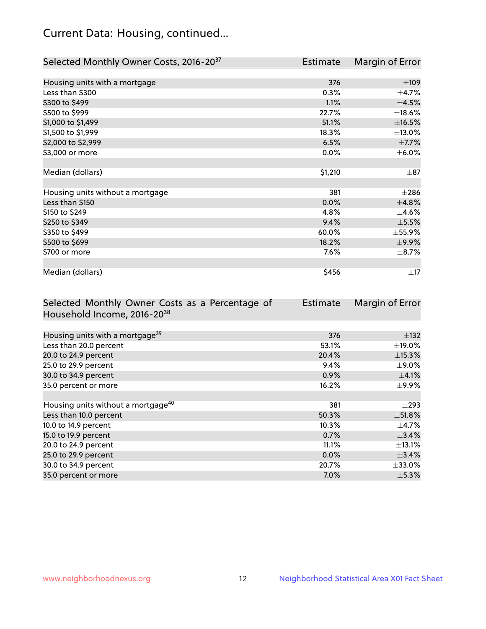## Current Data: Housing, continued...

| Selected Monthly Owner Costs, 2016-20 <sup>37</sup> | Estimate | Margin of Error |
|-----------------------------------------------------|----------|-----------------|
|                                                     |          |                 |
| Housing units with a mortgage                       | 376      | $\pm 109$       |
| Less than \$300                                     | 0.3%     | $\pm$ 4.7%      |
| \$300 to \$499                                      | 1.1%     | $\pm 4.5\%$     |
| \$500 to \$999                                      | 22.7%    | $\pm$ 18.6%     |
| \$1,000 to \$1,499                                  | 51.1%    | ±16.5%          |
| \$1,500 to \$1,999                                  | 18.3%    | ±13.0%          |
| \$2,000 to \$2,999                                  | 6.5%     | $\pm$ 7.7%      |
| \$3,000 or more                                     | 0.0%     | $\pm$ 6.0%      |
|                                                     |          |                 |
| Median (dollars)                                    | \$1,210  | $\pm$ 87        |
|                                                     |          |                 |
| Housing units without a mortgage                    | 381      | $\pm 286$       |
| Less than \$150                                     | 0.0%     | ±4.8%           |
| \$150 to \$249                                      | 4.8%     | $\pm$ 4.6%      |
| \$250 to \$349                                      | 9.4%     | $\pm$ 5.5%      |
| \$350 to \$499                                      | 60.0%    | $\pm$ 55.9%     |
| \$500 to \$699                                      | 18.2%    | ±9.9%           |
| \$700 or more                                       | 7.6%     | $\pm$ 8.7%      |
|                                                     |          |                 |
| Median (dollars)                                    | \$456    | $\pm$ 17        |

| Selected Monthly Owner Costs as a Percentage of | <b>Estimate</b> | Margin of Error |
|-------------------------------------------------|-----------------|-----------------|
| Household Income, 2016-20 <sup>38</sup>         |                 |                 |
|                                                 |                 |                 |
| Housing units with a mortgage <sup>39</sup>     | 376             | $\pm$ 132       |
| Less than 20.0 percent                          | 53.1%           | $\pm$ 19.0%     |
| 20.0 to 24.9 percent                            | 20.4%           | ±15.3%          |
| 25.0 to 29.9 percent                            | 9.4%            | $\pm$ 9.0%      |
| 30.0 to 34.9 percent                            | 0.9%            | $\pm$ 4.1%      |
| 35.0 percent or more                            | 16.2%           | $\pm$ 9.9%      |
|                                                 |                 |                 |
| Housing units without a mortgage <sup>40</sup>  | 381             | $\pm 293$       |
| Less than 10.0 percent                          | 50.3%           | $\pm$ 51.8%     |
| 10.0 to 14.9 percent                            | 10.3%           | $\pm$ 4.7%      |
| 15.0 to 19.9 percent                            | 0.7%            | ±3.4%           |
| 20.0 to 24.9 percent                            | 11.1%           | $\pm$ 13.1%     |
| 25.0 to 29.9 percent                            | 0.0%            | $\pm$ 3.4%      |
| 30.0 to 34.9 percent                            | 20.7%           | $\pm$ 33.0%     |
| 35.0 percent or more                            | $7.0\%$         | $\pm$ 5.3%      |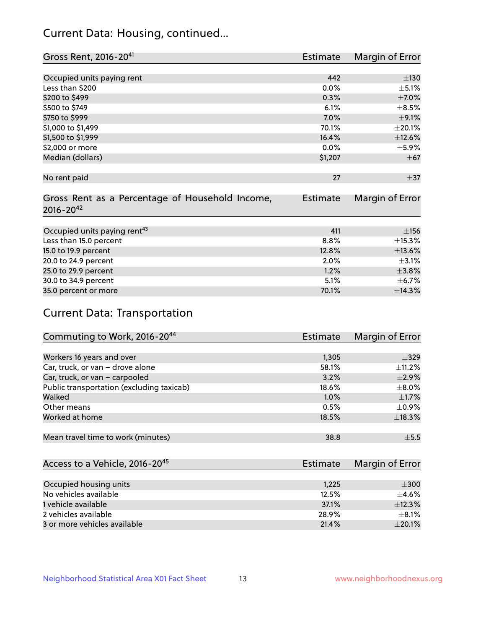## Current Data: Housing, continued...

| Gross Rent, 2016-20 <sup>41</sup>                                   | Estimate        | Margin of Error |
|---------------------------------------------------------------------|-----------------|-----------------|
|                                                                     |                 |                 |
| Occupied units paying rent                                          | 442             | ±130            |
| Less than \$200                                                     | 0.0%            | $\pm$ 5.1%      |
| \$200 to \$499                                                      | 0.3%            | $\pm$ 7.0%      |
| \$500 to \$749                                                      | 6.1%            | $\pm$ 8.5%      |
| \$750 to \$999                                                      | $7.0\%$         | $\pm$ 9.1%      |
| \$1,000 to \$1,499                                                  | 70.1%           | $\pm 20.1\%$    |
| \$1,500 to \$1,999                                                  | 16.4%           | ±12.6%          |
| \$2,000 or more                                                     | 0.0%            | $\pm$ 5.9%      |
| Median (dollars)                                                    | \$1,207         | $\pm$ 67        |
| No rent paid                                                        | 27              | $\pm$ 37        |
| Gross Rent as a Percentage of Household Income,<br>$2016 - 20^{42}$ | <b>Estimate</b> | Margin of Error |
| Occupied units paying rent <sup>43</sup>                            | 411             | ±156            |
| Less than 15.0 percent                                              | 8.8%            | ±15.3%          |
| 15.0 to 19.9 percent                                                | 12.8%           | ±13.6%          |
| 20.0 to 24.9 percent                                                | 2.0%            | $\pm$ 3.1%      |
| 25.0 to 29.9 percent                                                | 1.2%            | $\pm 3.8\%$     |
| 30.0 to 34.9 percent                                                | 5.1%            | $\pm$ 6.7%      |
| 35.0 percent or more                                                | 70.1%           | ±14.3%          |

# Current Data: Transportation

| Commuting to Work, 2016-20 <sup>44</sup>  | Estimate | Margin of Error |
|-------------------------------------------|----------|-----------------|
|                                           |          |                 |
| Workers 16 years and over                 | 1,305    | $\pm$ 329       |
| Car, truck, or van - drove alone          | 58.1%    | $\pm$ 11.2%     |
| Car, truck, or van - carpooled            | 3.2%     | $\pm 2.9\%$     |
| Public transportation (excluding taxicab) | 18.6%    | $\pm$ 8.0%      |
| Walked                                    | 1.0%     | $\pm$ 1.7%      |
| Other means                               | 0.5%     | $\pm$ 0.9%      |
| Worked at home                            | 18.5%    | $\pm$ 18.3%     |
|                                           |          |                 |
| Mean travel time to work (minutes)        | 38.8     | $\pm$ 5.5       |

| Access to a Vehicle, 2016-20 <sup>45</sup> | Estimate | Margin of Error |
|--------------------------------------------|----------|-----------------|
|                                            |          |                 |
| Occupied housing units                     | 1,225    | $\pm 300$       |
| No vehicles available                      | 12.5%    | $+4.6%$         |
| 1 vehicle available                        | 37.1%    | ±12.3%          |
| 2 vehicles available                       | 28.9%    | $+8.1%$         |
| 3 or more vehicles available               | 21.4%    | $\pm 20.1\%$    |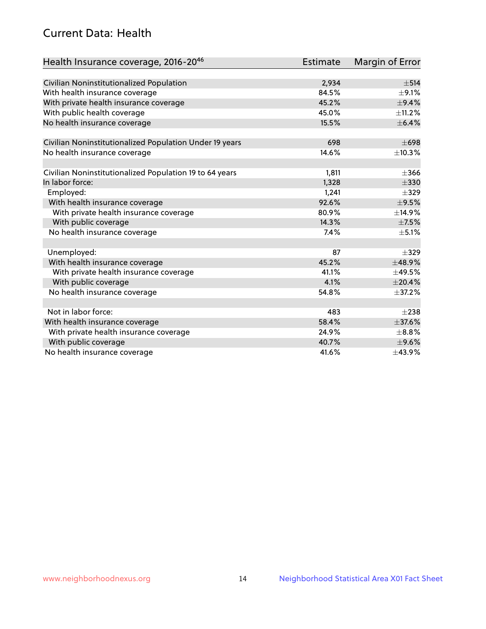## Current Data: Health

| Health Insurance coverage, 2016-2046                    | <b>Estimate</b> | <b>Margin of Error</b> |
|---------------------------------------------------------|-----------------|------------------------|
|                                                         |                 |                        |
| Civilian Noninstitutionalized Population                | 2,934           | $\pm$ 514              |
| With health insurance coverage                          | 84.5%           | $\pm$ 9.1%             |
| With private health insurance coverage                  | 45.2%           | $\pm$ 9.4%             |
| With public health coverage                             | 45.0%           | $\pm$ 11.2%            |
| No health insurance coverage                            | 15.5%           | $\pm$ 6.4%             |
| Civilian Noninstitutionalized Population Under 19 years | 698             | $\pm 698$              |
| No health insurance coverage                            | 14.6%           | ±10.3%                 |
|                                                         |                 |                        |
| Civilian Noninstitutionalized Population 19 to 64 years | 1,811           | $\pm 366$              |
| In labor force:                                         | 1,328           | $\pm$ 330              |
| Employed:                                               | 1,241           | $\pm$ 329              |
| With health insurance coverage                          | 92.6%           | $\pm$ 9.5%             |
| With private health insurance coverage                  | 80.9%           | ±14.9%                 |
| With public coverage                                    | 14.3%           | $\pm$ 7.5%             |
| No health insurance coverage                            | 7.4%            | $\pm$ 5.1%             |
|                                                         |                 |                        |
| Unemployed:                                             | 87              | $+329$                 |
| With health insurance coverage                          | 45.2%           | ±48.9%                 |
| With private health insurance coverage                  | 41.1%           | ±49.5%                 |
| With public coverage                                    | 4.1%            | ±20.4%                 |
| No health insurance coverage                            | 54.8%           | ±37.2%                 |
| Not in labor force:                                     | 483             | $\pm 238$              |
| With health insurance coverage                          | 58.4%           | ±37.6%                 |
| With private health insurance coverage                  | 24.9%           | $\pm$ 8.8%             |
| With public coverage                                    | 40.7%           | $\pm$ 9.6%             |
| No health insurance coverage                            | 41.6%           | ±43.9%                 |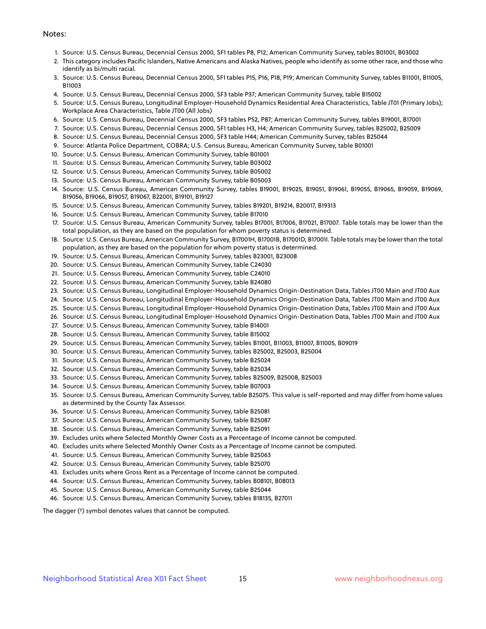#### Notes:

- 1. Source: U.S. Census Bureau, Decennial Census 2000, SF1 tables P8, P12; American Community Survey, tables B01001, B03002
- 2. This category includes Pacific Islanders, Native Americans and Alaska Natives, people who identify as some other race, and those who identify as bi/multi racial.
- 3. Source: U.S. Census Bureau, Decennial Census 2000, SF1 tables P15, P16, P18, P19; American Community Survey, tables B11001, B11005, B11003
- 4. Source: U.S. Census Bureau, Decennial Census 2000, SF3 table P37; American Community Survey, table B15002
- 5. Source: U.S. Census Bureau, Longitudinal Employer-Household Dynamics Residential Area Characteristics, Table JT01 (Primary Jobs); Workplace Area Characteristics, Table JT00 (All Jobs)
- 6. Source: U.S. Census Bureau, Decennial Census 2000, SF3 tables P52, P87; American Community Survey, tables B19001, B17001
- 7. Source: U.S. Census Bureau, Decennial Census 2000, SF1 tables H3, H4; American Community Survey, tables B25002, B25009
- 8. Source: U.S. Census Bureau, Decennial Census 2000, SF3 table H44; American Community Survey, tables B25044
- 9. Source: Atlanta Police Department, COBRA; U.S. Census Bureau, American Community Survey, table B01001
- 10. Source: U.S. Census Bureau, American Community Survey, table B01001
- 11. Source: U.S. Census Bureau, American Community Survey, table B03002
- 12. Source: U.S. Census Bureau, American Community Survey, table B05002
- 13. Source: U.S. Census Bureau, American Community Survey, table B05003
- 14. Source: U.S. Census Bureau, American Community Survey, tables B19001, B19025, B19051, B19061, B19055, B19065, B19059, B19069, B19056, B19066, B19057, B19067, B22001, B19101, B19127
- 15. Source: U.S. Census Bureau, American Community Survey, tables B19201, B19214, B20017, B19313
- 16. Source: U.S. Census Bureau, American Community Survey, table B17010
- 17. Source: U.S. Census Bureau, American Community Survey, tables B17001, B17006, B17021, B17007. Table totals may be lower than the total population, as they are based on the population for whom poverty status is determined.
- 18. Source: U.S. Census Bureau, American Community Survey, B17001H, B17001B, B17001D, B17001I. Table totals may be lower than the total population, as they are based on the population for whom poverty status is determined.
- 19. Source: U.S. Census Bureau, American Community Survey, tables B23001, B23008
- 20. Source: U.S. Census Bureau, American Community Survey, table C24030
- 21. Source: U.S. Census Bureau, American Community Survey, table C24010
- 22. Source: U.S. Census Bureau, American Community Survey, table B24080
- 23. Source: U.S. Census Bureau, Longitudinal Employer-Household Dynamics Origin-Destination Data, Tables JT00 Main and JT00 Aux
- 24. Source: U.S. Census Bureau, Longitudinal Employer-Household Dynamics Origin-Destination Data, Tables JT00 Main and JT00 Aux
- 25. Source: U.S. Census Bureau, Longitudinal Employer-Household Dynamics Origin-Destination Data, Tables JT00 Main and JT00 Aux
- 26. Source: U.S. Census Bureau, Longitudinal Employer-Household Dynamics Origin-Destination Data, Tables JT00 Main and JT00 Aux
- 27. Source: U.S. Census Bureau, American Community Survey, table B14001
- 28. Source: U.S. Census Bureau, American Community Survey, table B15002
- 29. Source: U.S. Census Bureau, American Community Survey, tables B11001, B11003, B11007, B11005, B09019
- 30. Source: U.S. Census Bureau, American Community Survey, tables B25002, B25003, B25004
- 31. Source: U.S. Census Bureau, American Community Survey, table B25024
- 32. Source: U.S. Census Bureau, American Community Survey, table B25034
- 33. Source: U.S. Census Bureau, American Community Survey, tables B25009, B25008, B25003
- 34. Source: U.S. Census Bureau, American Community Survey, table B07003
- 35. Source: U.S. Census Bureau, American Community Survey, table B25075. This value is self-reported and may differ from home values as determined by the County Tax Assessor.
- 36. Source: U.S. Census Bureau, American Community Survey, table B25081
- 37. Source: U.S. Census Bureau, American Community Survey, table B25087
- 38. Source: U.S. Census Bureau, American Community Survey, table B25091
- 39. Excludes units where Selected Monthly Owner Costs as a Percentage of Income cannot be computed.
- 40. Excludes units where Selected Monthly Owner Costs as a Percentage of Income cannot be computed.
- 41. Source: U.S. Census Bureau, American Community Survey, table B25063
- 42. Source: U.S. Census Bureau, American Community Survey, table B25070
- 43. Excludes units where Gross Rent as a Percentage of Income cannot be computed.
- 44. Source: U.S. Census Bureau, American Community Survey, tables B08101, B08013
- 45. Source: U.S. Census Bureau, American Community Survey, table B25044
- 46. Source: U.S. Census Bureau, American Community Survey, tables B18135, B27011

The dagger (†) symbol denotes values that cannot be computed.